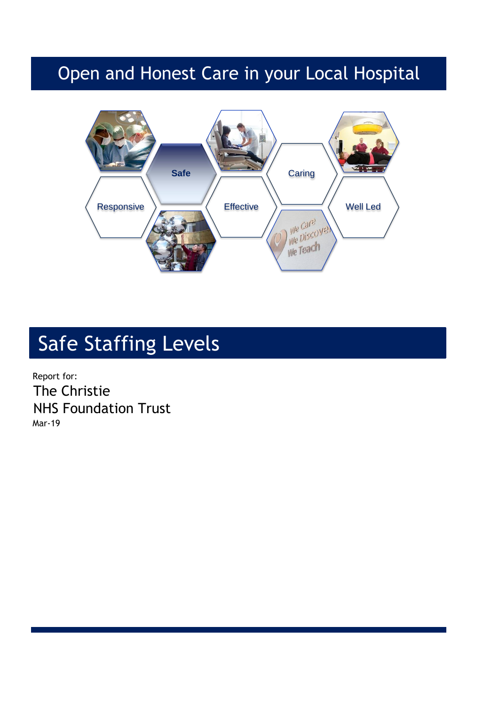## Open and Honest Care in your Local Hospital



# Safe Staffing Levels

Report for: The Christie NHS Foundation Trust Mar-19